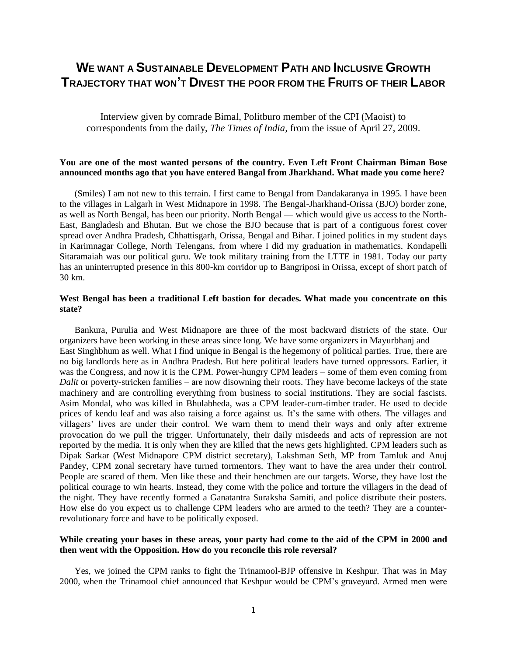# **WE WANT A SUSTAINABLE DEVELOPMENT PATH AND INCLUSIVE GROWTH TRAJECTORY THAT WON'T DIVEST THE POOR FROM THE FRUITS OF THEIR LABOR**

Interview given by comrade Bimal, Politburo member of the CPI (Maoist) to correspondents from the daily, *The Times of India,* from the issue of April 27, 2009.

## **You are one of the most wanted persons of the country. Even Left Front Chairman Biman Bose announced months ago that you have entered Bangal from Jharkhand. What made you come here?**

(Smiles) I am not new to this terrain. I first came to Bengal from Dandakaranya in 1995. I have been to the villages in Lalgarh in West Midnapore in 1998. The Bengal-Jharkhand-Orissa (BJO) border zone, as well as North Bengal, has been our priority. North Bengal — which would give us access to the North-East, Bangladesh and Bhutan. But we chose the BJO because that is part of a contiguous forest cover spread over Andhra Pradesh, Chhattisgarh, Orissa, Bengal and Bihar. I joined politics in my student days in Karimnagar College, North Telengans, from where I did my graduation in mathematics. Kondapelli Sitaramaiah was our political guru. We took military training from the LTTE in 1981. Today our party has an uninterrupted presence in this 800-km corridor up to Bangriposi in Orissa, except of short patch of 30 km.

# **West Bengal has been a traditional Left bastion for decades. What made you concentrate on this state?**

Bankura, Purulia and West Midnapore are three of the most backward districts of the state. Our organizers have been working in these areas since long. We have some organizers in Mayurbhanj and East Singhbhum as well. What I find unique in Bengal is the hegemony of political parties. True, there are no big landlords here as in Andhra Pradesh. But here political leaders have turned oppressors. Earlier, it was the Congress, and now it is the CPM. Power-hungry CPM leaders – some of them even coming from *Dalit* or poverty-stricken families – are now disowning their roots. They have become lackeys of the state machinery and are controlling everything from business to social institutions. They are social fascists. Asim Mondal, who was killed in Bhulabheda, was a CPM leader-cum-timber trader. He used to decide prices of kendu leaf and was also raising a force against us. It's the same with others. The villages and villagers' lives are under their control. We warn them to mend their ways and only after extreme provocation do we pull the trigger. Unfortunately, their daily misdeeds and acts of repression are not reported by the media. It is only when they are killed that the news gets highlighted. CPM leaders such as Dipak Sarkar (West Midnapore CPM district secretary), Lakshman Seth, MP from Tamluk and Anuj Pandey, CPM zonal secretary have turned tormentors. They want to have the area under their control. People are scared of them. Men like these and their henchmen are our targets. Worse, they have lost the political courage to win hearts. Instead, they come with the police and torture the villagers in the dead of the night. They have recently formed a Ganatantra Suraksha Samiti, and police distribute their posters. How else do you expect us to challenge CPM leaders who are armed to the teeth? They are a counterrevolutionary force and have to be politically exposed.

#### **While creating your bases in these areas, your party had come to the aid of the CPM in 2000 and then went with the Opposition. How do you reconcile this role reversal?**

Yes, we joined the CPM ranks to fight the Trinamool-BJP offensive in Keshpur. That was in May 2000, when the Trinamool chief announced that Keshpur would be CPM's graveyard. Armed men were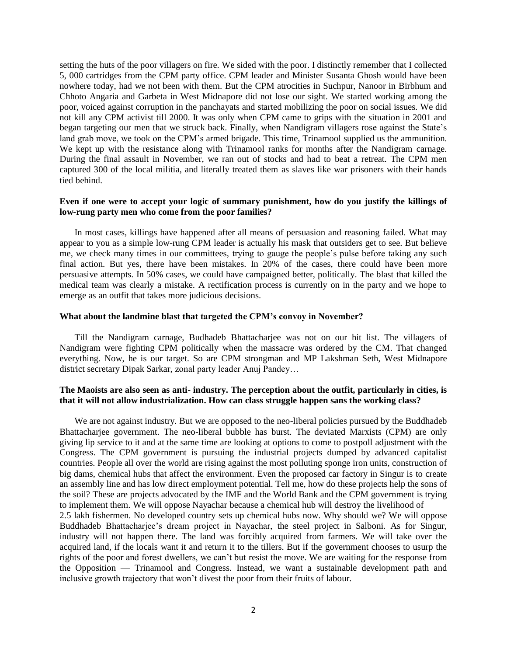setting the huts of the poor villagers on fire. We sided with the poor. I distinctly remember that I collected 5, 000 cartridges from the CPM party office. CPM leader and Minister Susanta Ghosh would have been nowhere today, had we not been with them. But the CPM atrocities in Suchpur, Nanoor in Birbhum and Chhoto Angaria and Garbeta in West Midnapore did not lose our sight. We started working among the poor, voiced against corruption in the panchayats and started mobilizing the poor on social issues. We did not kill any CPM activist till 2000. It was only when CPM came to grips with the situation in 2001 and began targeting our men that we struck back. Finally, when Nandigram villagers rose against the State's land grab move, we took on the CPM's armed brigade. This time, Trinamool supplied us the ammunition. We kept up with the resistance along with Trinamool ranks for months after the Nandigram carnage. During the final assault in November, we ran out of stocks and had to beat a retreat. The CPM men captured 300 of the local militia, and literally treated them as slaves like war prisoners with their hands tied behind.

## **Even if one were to accept your logic of summary punishment, how do you justify the killings of low-rung party men who come from the poor families?**

In most cases, killings have happened after all means of persuasion and reasoning failed. What may appear to you as a simple low-rung CPM leader is actually his mask that outsiders get to see. But believe me, we check many times in our committees, trying to gauge the people's pulse before taking any such final action. But yes, there have been mistakes. In 20% of the cases, there could have been more persuasive attempts. In 50% cases, we could have campaigned better, politically. The blast that killed the medical team was clearly a mistake. A rectification process is currently on in the party and we hope to emerge as an outfit that takes more judicious decisions.

#### **What about the landmine blast that targeted the CPM's convoy in November?**

Till the Nandigram carnage, Budhadeb Bhattacharjee was not on our hit list. The villagers of Nandigram were fighting CPM politically when the massacre was ordered by the CM. That changed everything. Now, he is our target. So are CPM strongman and MP Lakshman Seth, West Midnapore district secretary Dipak Sarkar, zonal party leader Anuj Pandey…

#### **The Maoists are also seen as anti- industry. The perception about the outfit, particularly in cities, is that it will not allow industrialization. How can class struggle happen sans the working class?**

We are not against industry. But we are opposed to the neo-liberal policies pursued by the Buddhadeb Bhattacharjee government. The neo-liberal bubble has burst. The deviated Marxists (CPM) are only giving lip service to it and at the same time are looking at options to come to postpoll adjustment with the Congress. The CPM government is pursuing the industrial projects dumped by advanced capitalist countries. People all over the world are rising against the most polluting sponge iron units, construction of big dams, chemical hubs that affect the environment. Even the proposed car factory in Singur is to create an assembly line and has low direct employment potential. Tell me, how do these projects help the sons of the soil? These are projects advocated by the IMF and the World Bank and the CPM government is trying to implement them. We will oppose Nayachar because a chemical hub will destroy the livelihood of 2.5 lakh fishermen. No developed country sets up chemical hubs now. Why should we? We will oppose Buddhadeb Bhattacharjee's dream project in Nayachar, the steel project in Salboni. As for Singur, industry will not happen there. The land was forcibly acquired from farmers. We will take over the acquired land, if the locals want it and return it to the tillers. But if the government chooses to usurp the rights of the poor and forest dwellers, we can't but resist the move. We are waiting for the response from the Opposition — Trinamool and Congress. Instead, we want a sustainable development path and inclusive growth trajectory that won't divest the poor from their fruits of labour.